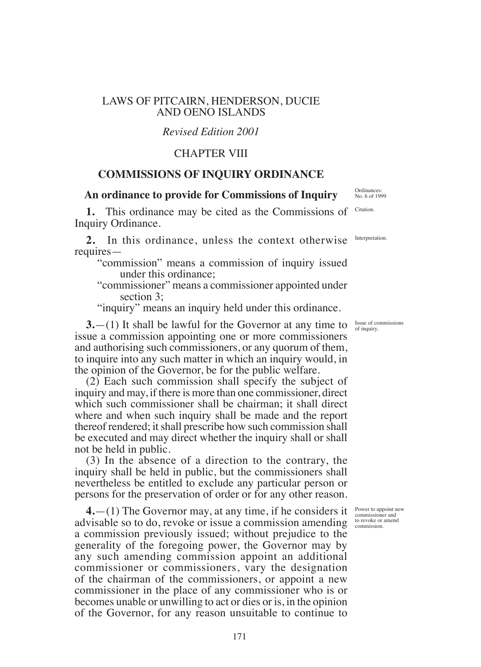## LAWS OF PITCAIRN, HENDERSON, DUCIE AND OENO ISLANDS

# *Revised Edition 2001*

# CHAPTER VIII

## **COMMISSIONS OF INQUIRY ORDINANCE**

### **An ordinance to provide for Commissions of Inquiry**

**1.** This ordinance may be cited as the Commissions of Inquiry Ordinance.

2. In this ordinance, unless the context otherwise Interpretation requires—

- "commission" means a commission of inquiry issued under this ordinance;
- "commissioner" means a commissioner appointed under section 3;

"inquiry" means an inquiry held under this ordinance.

**3.**—(1) It shall be lawful for the Governor at any time to  $\frac{1}{\text{S}^2}$  of inquiry. issue a commission appointing one or more commissioners and authorising such commissioners, or any quorum of them, to inquire into any such matter in which an inquiry would, in the opinion of the Governor, be for the public welfare.

(2) Each such commission shall specify the subject of inquiry and may, if there is more than one commissioner, direct which such commissioner shall be chairman; it shall direct where and when such inquiry shall be made and the report thereof rendered; it shall prescribe how such commission shall be executed and may direct whether the inquiry shall or shall not be held in public.

(3) In the absence of a direction to the contrary, the inquiry shall be held in public, but the commissioners shall nevertheless be entitled to exclude any particular person or persons for the preservation of order or for any other reason.

**4.**—(1) The Governor may, at any time, if he considers it advisable so to do, revoke or issue a commission amending a commission previously issued; without prejudice to the generality of the foregoing power, the Governor may by any such amending commission appoint an additional commissioner or commissioners, vary the designation of the chairman of the commissioners, or appoint a new commissioner in the place of any commissioner who is or becomes unable or unwilling to act or dies or is, in the opinion of the Governor, for any reason unsuitable to continue to

of inquiry.

Power to appoint new commissioner and to revoke or amend commission.

Ordinances: No. 6 of 1999

Citation.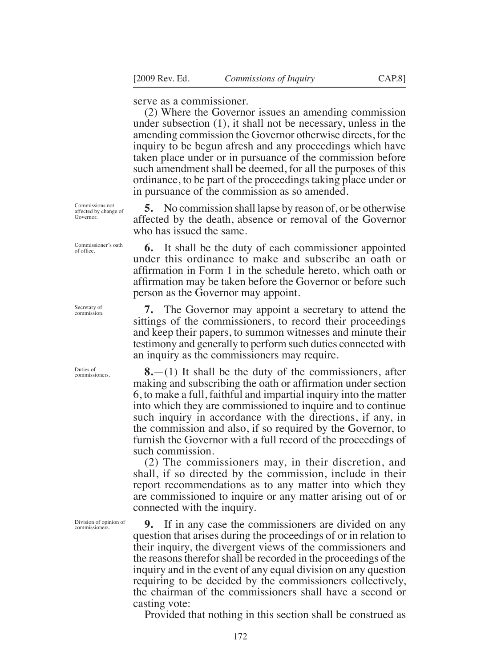serve as a commissioner.

(2) Where the Governor issues an amending commission under subsection (1), it shall not be necessary, unless in the amending commission the Governor otherwise directs, for the inquiry to be begun afresh and any proceedings which have taken place under or in pursuance of the commission before such amendment shall be deemed, for all the purposes of this ordinance, to be part of the proceedings taking place under or in pursuance of the commission as so amended.

**5.** No commission shall lapse by reason of, or be otherwise affected by the death, absence or removal of the Governor who has issued the same.

**6.** It shall be the duty of each commissioner appointed under this ordinance to make and subscribe an oath or affirmation in Form 1 in the schedule hereto, which oath or affirmation may be taken before the Governor or before such person as the Governor may appoint.

**7.** The Governor may appoint a secretary to attend the sittings of the commissioners, to record their proceedings and keep their papers, to summon witnesses and minute their testimony and generally to perform such duties connected with an inquiry as the commissioners may require.

**8.**—(1) It shall be the duty of the commissioners, after making and subscribing the oath or affirmation under section 6, to make a full, faithful and impartial inquiry into the matter into which they are commissioned to inquire and to continue such inquiry in accordance with the directions, if any, in the commission and also, if so required by the Governor, to furnish the Governor with a full record of the proceedings of such commission.

(2) The commissioners may, in their discretion, and shall, if so directed by the commission, include in their report recommendations as to any matter into which they are commissioned to inquire or any matter arising out of or connected with the inquiry.

**9.** If in any case the commissioners are divided on any question that arises during the proceedings of or in relation to their inquiry, the divergent views of the commissioners and the reasons therefor shall be recorded in the proceedings of the inquiry and in the event of any equal division on any question requiring to be decided by the commissioners collectively, the chairman of the commissioners shall have a second or casting vote:

Provided that nothing in this section shall be construed as

affected by change of Governor.

Commissions not

Commissioner's oath of ofice.

Secretary of commission.

Duties of commissioners.

Division of opinion of commissioners.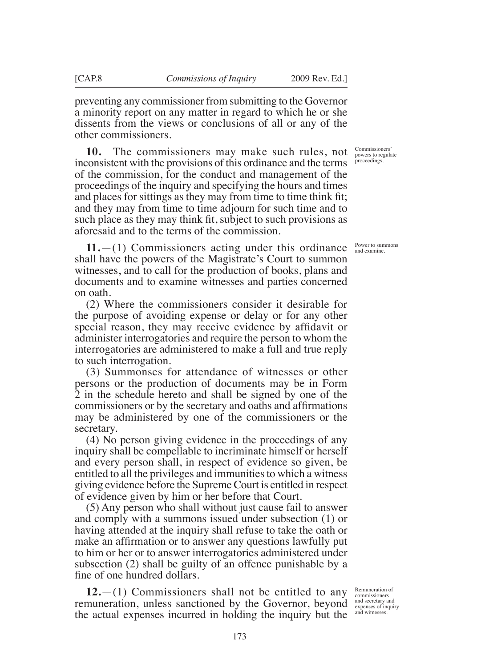preventing any commissioner from submitting to the Governor a minority report on any matter in regard to which he or she dissents from the views or conclusions of all or any of the other commissioners.

**10.** The commissioners may make such rules, not inconsistent with the provisions of this ordinance and the terms of the commission, for the conduct and management of the proceedings of the inquiry and specifying the hours and times and places for sittings as they may from time to time think fit; and they may from time to time adjourn for such time and to such place as they may think fit, subject to such provisions as aforesaid and to the terms of the commission.

**11.**—(1) Commissioners acting under this ordinance shall have the powers of the Magistrate's Court to summon witnesses, and to call for the production of books, plans and documents and to examine witnesses and parties concerned on oath.

(2) Where the commissioners consider it desirable for the purpose of avoiding expense or delay or for any other special reason, they may receive evidence by affidavit or administer interrogatories and require the person to whom the interrogatories are administered to make a full and true reply to such interrogation.

(3) Summonses for attendance of witnesses or other persons or the production of documents may be in Form 2 in the schedule hereto and shall be signed by one of the commissioners or by the secretary and oaths and affirmations may be administered by one of the commissioners or the secretary.

(4) No person giving evidence in the proceedings of any inquiry shall be compellable to incriminate himself or herself and every person shall, in respect of evidence so given, be entitled to all the privileges and immunities to which a witness giving evidence before the Supreme Court is entitled in respect of evidence given by him or her before that Court.

(5) Any person who shall without just cause fail to answer and comply with a summons issued under subsection (1) or having attended at the inquiry shall refuse to take the oath or make an affirmation or to answer any questions lawfully put to him or her or to answer interrogatories administered under subsection (2) shall be guilty of an offence punishable by a fine of one hundred dollars.

**12.**—(1) Commissioners shall not be entitled to any remuneration, unless sanctioned by the Governor, beyond the actual expenses incurred in holding the inquiry but the

Commissioners' powers to regulate proceedings.

Power to summons and examine.

Remuneration of commissioners and secretary and expenses of inquiry and witnesses.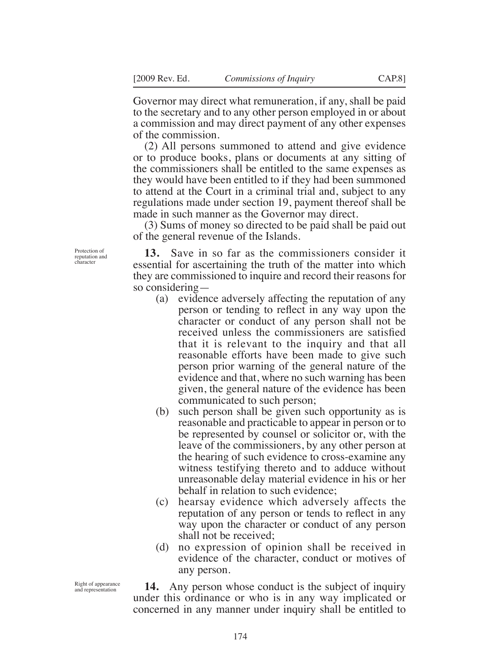Governor may direct what remuneration, if any, shall be paid to the secretary and to any other person employed in or about a commission and may direct payment of any other expenses of the commission.

(2) All persons summoned to attend and give evidence or to produce books, plans or documents at any sitting of the commissioners shall be entitled to the same expenses as they would have been entitled to if they had been summoned to attend at the Court in a criminal trial and, subject to any regulations made under section 19, payment thereof shall be made in such manner as the Governor may direct.

(3) Sums of money so directed to be paid shall be paid out of the general revenue of the Islands.

**13.** Save in so far as the commissioners consider it essential for ascertaining the truth of the matter into which they are commissioned to inquire and record their reasons for so considering—

- (a) evidence adversely affecting the reputation of any person or tending to reflect in any way upon the character or conduct of any person shall not be received unless the commissioners are satisfied that it is relevant to the inquiry and that all reasonable efforts have been made to give such person prior warning of the general nature of the evidence and that, where no such warning has been given, the general nature of the evidence has been communicated to such person;
- (b) such person shall be given such opportunity as is reasonable and practicable to appear in person or to be represented by counsel or solicitor or, with the leave of the commissioners, by any other person at the hearing of such evidence to cross-examine any witness testifying thereto and to adduce without unreasonable delay material evidence in his or her behalf in relation to such evidence;
- (c) hearsay evidence which adversely affects the reputation of any person or tends to reflect in any way upon the character or conduct of any person shall not be received;
- (d) no expression of opinion shall be received in evidence of the character, conduct or motives of any person.

**14.** Any person whose conduct is the subject of inquiry under this ordinance or who is in any way implicated or concerned in any manner under inquiry shall be entitled to

Protection of reputation and character

Right of appearance and representation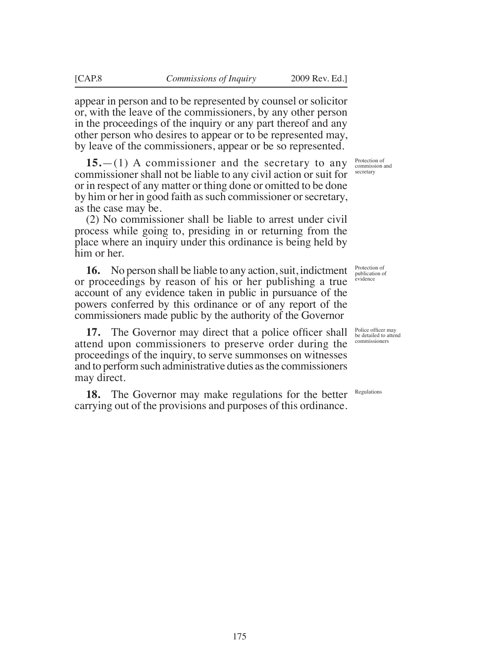appear in person and to be represented by counsel or solicitor or, with the leave of the commissioners, by any other person in the proceedings of the inquiry or any part thereof and any other person who desires to appear or to be represented may, by leave of the commissioners, appear or be so represented.

**15.**—(1) A commissioner and the secretary to any commissioner shall not be liable to any civil action or suit for or in respect of any matter or thing done or omitted to be done by him or her in good faith as such commissioner or secretary, as the case may be.

(2) No commissioner shall be liable to arrest under civil process while going to, presiding in or returning from the place where an inquiry under this ordinance is being held by him or her.

**16.** No person shall be liable to any action, suit, indictment or proceedings by reason of his or her publishing a true account of any evidence taken in public in pursuance of the powers conferred by this ordinance or of any report of the commissioners made public by the authority of the Governor

**17.** The Governor may direct that a police officer shall attend upon commissioners to preserve order during the proceedings of the inquiry, to serve summonses on witnesses and to perform such administrative duties as the commissioners may direct.

**18.** The Governor may make regulations for the better carrying out of the provisions and purposes of this ordinance.

Protection of commission and secretary

publication of evidence

Protection of

Police officer may be detailed to attend commissioners

Regulations